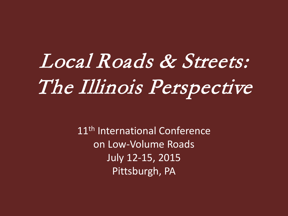# Local Roads & Streets: The Illinois Perspective

11<sup>th</sup> International Conference on Low-Volume Roads July 12-15, 2015 Pittsburgh, PA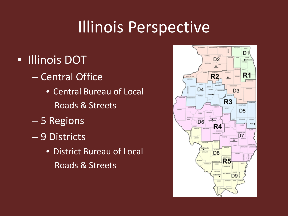- Illinois DOT
	- Central Office
		- Central Bureau of Local Roads & Streets
	- 5 Regions
	- 9 Districts
		- District Bureau of Local Roads & Streets

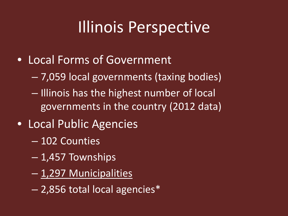- Local Forms of Government
	- 7,059 local governments (taxing bodies)
	- Illinois has the highest number of local governments in the country (2012 data)
- Local Public Agencies
	- 102 Counties
	- 1,457 Townships
	- 1,297 Municipalities
	- 2,856 total local agencies\*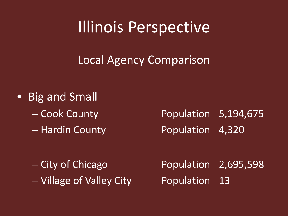Local Agency Comparison

- Big and Small
	-
	-

– Cook County Population 5,194,675 – Hardin County Population 4,320

– Village of Valley City Population 13

– City of Chicago Population 2,695,598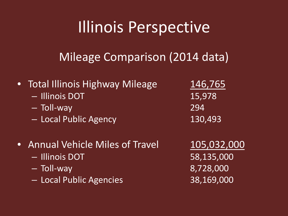#### Mileage Comparison (2014 data)

- Total Illinois Highway Mileage 146,765
	- Illinois DOT 15,978
	- Toll-way 294
	- Local Public Agency 130,493
- Annual Vehicle Miles of Travel 105,032,000
	- Illinois DOT 58,135,000
	- Toll-way 8,728,000
	- Local Public Agencies 38,169,000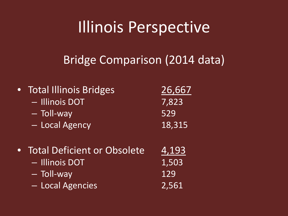#### Bridge Comparison (2014 data)

| <b>Total Illinois Bridges</b><br>- Illinois DOT<br>- Toll-way<br>- Local Agency   | 26,667<br>7,823<br>529<br>18,315 |
|-----------------------------------------------------------------------------------|----------------------------------|
| • Total Deficient or Obsolete<br>- Illinois DOT<br>- Toll-way<br>- Local Agencies | 4,193<br>1,503<br>129<br>2,561   |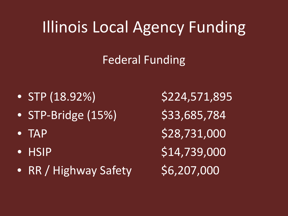### Illinois Local Agency Funding

#### Federal Funding

- STP  $(18.92\%)$  \$224,571,895
- STP-Bridge  $(15%)$  \$33,685,784
- 
- 
- RR / Highway Safety  $$6,207,000$

•  $TAP$  \$28,731,000 • HSIP  $$14,739,000$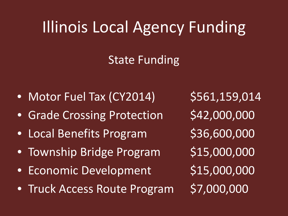### Illinois Local Agency Funding

#### State Funding

- Motor Fuel Tax (CY2014) \$561,159,014
- Grade Crossing Protection \$42,000,000
- Local Benefits Program \$36,600,000
- Township Bridge Program \$15,000,000
- Economic Development \$15,000,000
- Truck Access Route Program \$7,000,000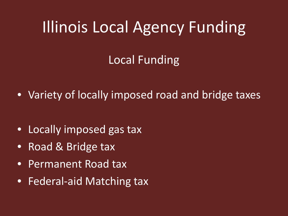### Illinois Local Agency Funding

#### Local Funding

• Variety of locally imposed road and bridge taxes

- Locally imposed gas tax
- Road & Bridge tax
- Permanent Road tax
- Federal-aid Matching tax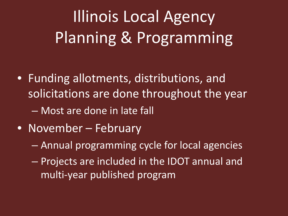## Illinois Local Agency Planning & Programming

- Funding allotments, distributions, and solicitations are done throughout the year
	- Most are done in late fall
- November February
	- Annual programming cycle for local agencies
	- Projects are included in the IDOT annual and multi-year published program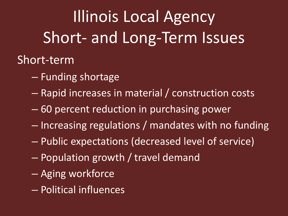# Illinois Local Agency Short- and Long-Term Issues

#### Short-term

- Funding shortage
- Rapid increases in material / construction costs
- 60 percent reduction in purchasing power
- Increasing regulations / mandates with no funding
- Public expectations (decreased level of service)
- Population growth / travel demand
- Aging workforce
- Political influences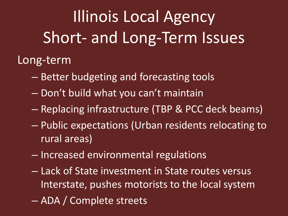Illinois Local Agency Short- and Long-Term Issues

Long-term

- Better budgeting and forecasting tools
- Don't build what you can't maintain
- Replacing infrastructure (TBP & PCC deck beams)
- Public expectations (Urban residents relocating to rural areas)
- Increased environmental regulations
- Lack of State investment in State routes versus Interstate, pushes motorists to the local system – ADA / Complete streets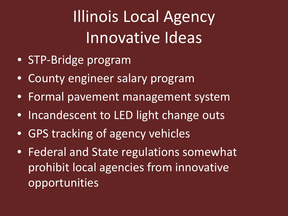Illinois Local Agency Innovative Ideas

- STP-Bridge program
- County engineer salary program
- Formal pavement management system
- Incandescent to LED light change outs
- GPS tracking of agency vehicles
- Federal and State regulations somewhat prohibit local agencies from innovative opportunities